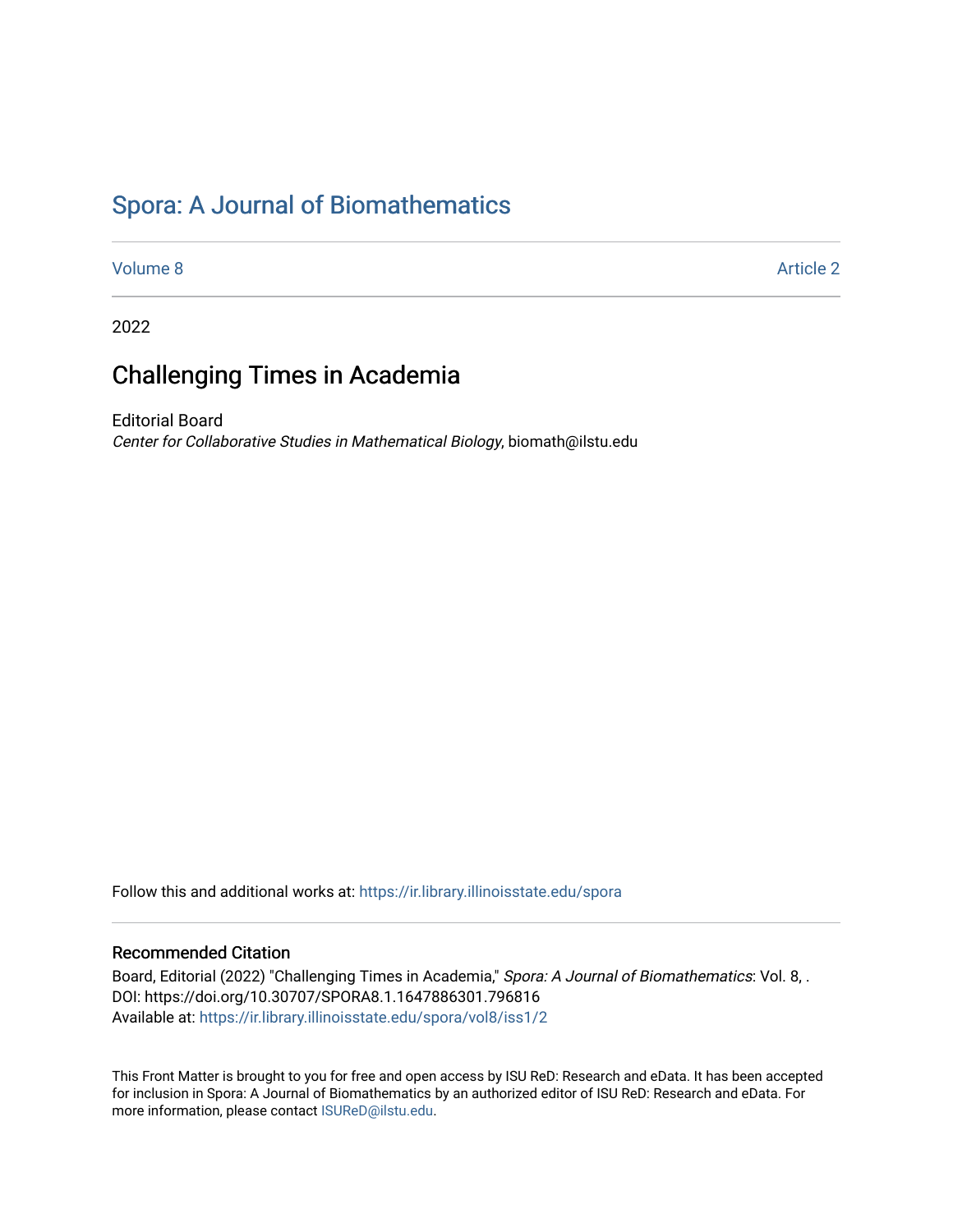# [Spora: A Journal of Biomathematics](https://ir.library.illinoisstate.edu/spora)

[Volume 8](https://ir.library.illinoisstate.edu/spora/vol8) Article 2

2022

## Challenging Times in Academia

Editorial Board Center for Collaborative Studies in Mathematical Biology, biomath@ilstu.edu

Follow this and additional works at: [https://ir.library.illinoisstate.edu/spora](https://ir.library.illinoisstate.edu/spora?utm_source=ir.library.illinoisstate.edu%2Fspora%2Fvol8%2Fiss1%2F2&utm_medium=PDF&utm_campaign=PDFCoverPages) 

### Recommended Citation

Board, Editorial (2022) "Challenging Times in Academia," Spora: A Journal of Biomathematics: Vol. 8, . DOI: https://doi.org/10.30707/SPORA8.1.1647886301.796816 Available at: [https://ir.library.illinoisstate.edu/spora/vol8/iss1/2](https://ir.library.illinoisstate.edu/spora/vol8/iss1/2?utm_source=ir.library.illinoisstate.edu%2Fspora%2Fvol8%2Fiss1%2F2&utm_medium=PDF&utm_campaign=PDFCoverPages) 

This Front Matter is brought to you for free and open access by ISU ReD: Research and eData. It has been accepted for inclusion in Spora: A Journal of Biomathematics by an authorized editor of ISU ReD: Research and eData. For more information, please contact [ISUReD@ilstu.edu](mailto:ISUReD@ilstu.edu).